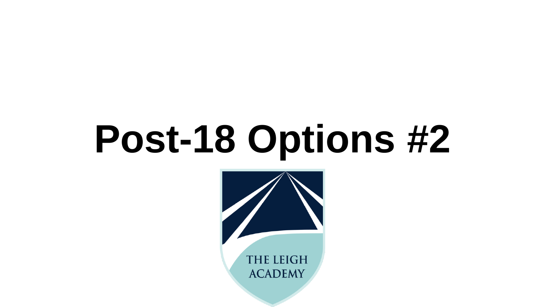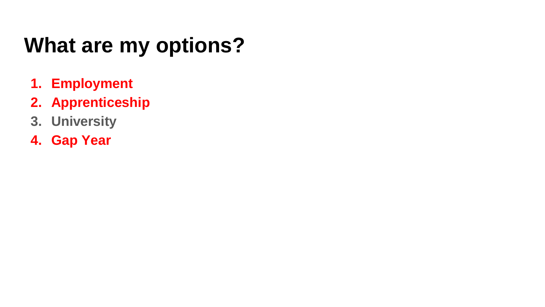## **What are my options?**

- **1. Employment**
- **2. Apprenticeship**
- **3. University**
- **4. Gap Year**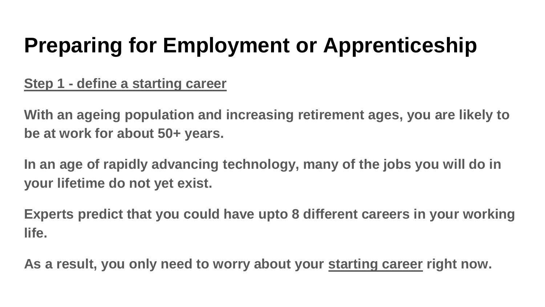**Step 1 - define a starting career**

**With an ageing population and increasing retirement ages, you are likely to be at work for about 50+ years.**

**In an age of rapidly advancing technology, many of the jobs you will do in your lifetime do not yet exist.**

**Experts predict that you could have upto 8 different careers in your working life.** 

**As a result, you only need to worry about your starting career right now.**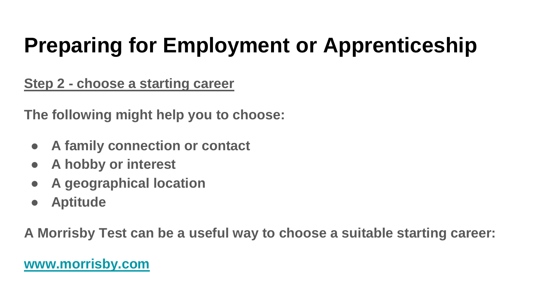**Step 2 - choose a starting career**

**The following might help you to choose:**

- **A family connection or contact**
- **A hobby or interest**
- **A geographical location**
- **Aptitude**

**A Morrisby Test can be a useful way to choose a suitable starting career:**

#### **[www.morrisby.com](http://www.morrisby.com)**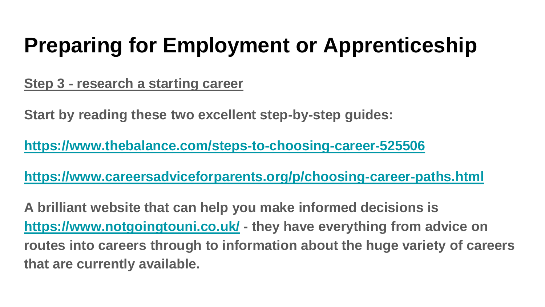**Step 3 - research a starting career**

**Start by reading these two excellent step-by-step guides:**

**<https://www.thebalance.com/steps-to-choosing-career-525506>**

**<https://www.careersadviceforparents.org/p/choosing-career-paths.html>**

**A brilliant website that can help you make informed decisions is <https://www.notgoingtouni.co.uk/> - they have everything from advice on routes into careers through to information about the huge variety of careers that are currently available.**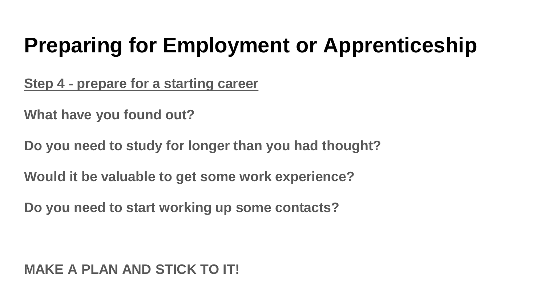**Step 4 - prepare for a starting career**

**What have you found out?**

**Do you need to study for longer than you had thought?**

**Would it be valuable to get some work experience?**

**Do you need to start working up some contacts?**

#### **MAKE A PLAN AND STICK TO IT!**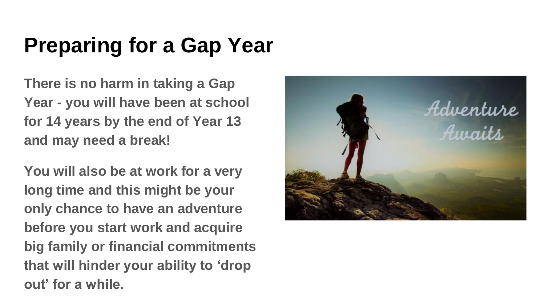### **Preparing for a Gap Year**

**There is no harm in taking a Gap Year - you will have been at school for 14 years by the end of Year 13 and may need a break!**

**You will also be at work for a very long time and this might be your only chance to have an adventure before you start work and acquire big family or financial commitments that will hinder your ability to 'drop out' for a while.**

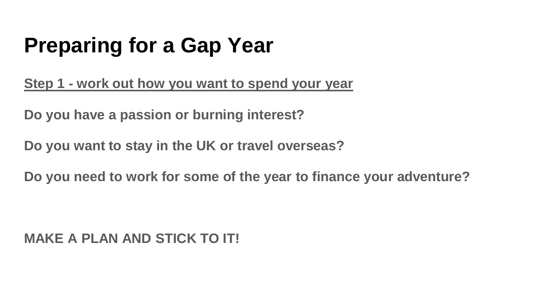## **Preparing for a Gap Year**

**Step 1 - work out how you want to spend your year**

**Do you have a passion or burning interest?**

**Do you want to stay in the UK or travel overseas?**

**Do you need to work for some of the year to finance your adventure?**

**MAKE A PLAN AND STICK TO IT!**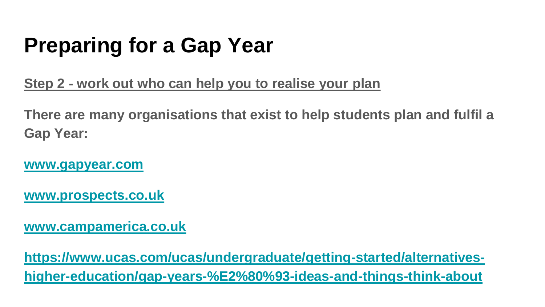## **Preparing for a Gap Year**

**Step 2 - work out who can help you to realise your plan**

**There are many organisations that exist to help students plan and fulfil a Gap Year:**

**[www.gapyear.com](http://www.gapyear.com)**

**[www.prospects.co.uk](http://www.prospects.co.uk)**

**[www.campamerica.co.uk](https://www.campamerica.co.uk/)**

**https://www.ucas.com/ucas/undergraduate/getting-started/alternatives[higher-education/gap-years-%E2%80%93-ideas-and-things-think-about](https://www.ucas.com/ucas/undergraduate/getting-started/alternatives-higher-education/gap-years-%E2%80%93-ideas-and-things-think-about)**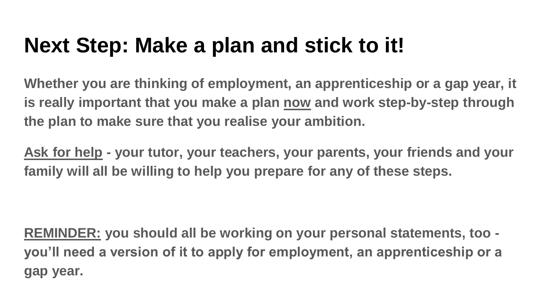### **Next Step: Make a plan and stick to it!**

**Whether you are thinking of employment, an apprenticeship or a gap year, it is really important that you make a plan now and work step-by-step through the plan to make sure that you realise your ambition.**

**Ask for help - your tutor, your teachers, your parents, your friends and your family will all be willing to help you prepare for any of these steps.**

**REMINDER: you should all be working on your personal statements, too you'll need a version of it to apply for employment, an apprenticeship or a gap year.**